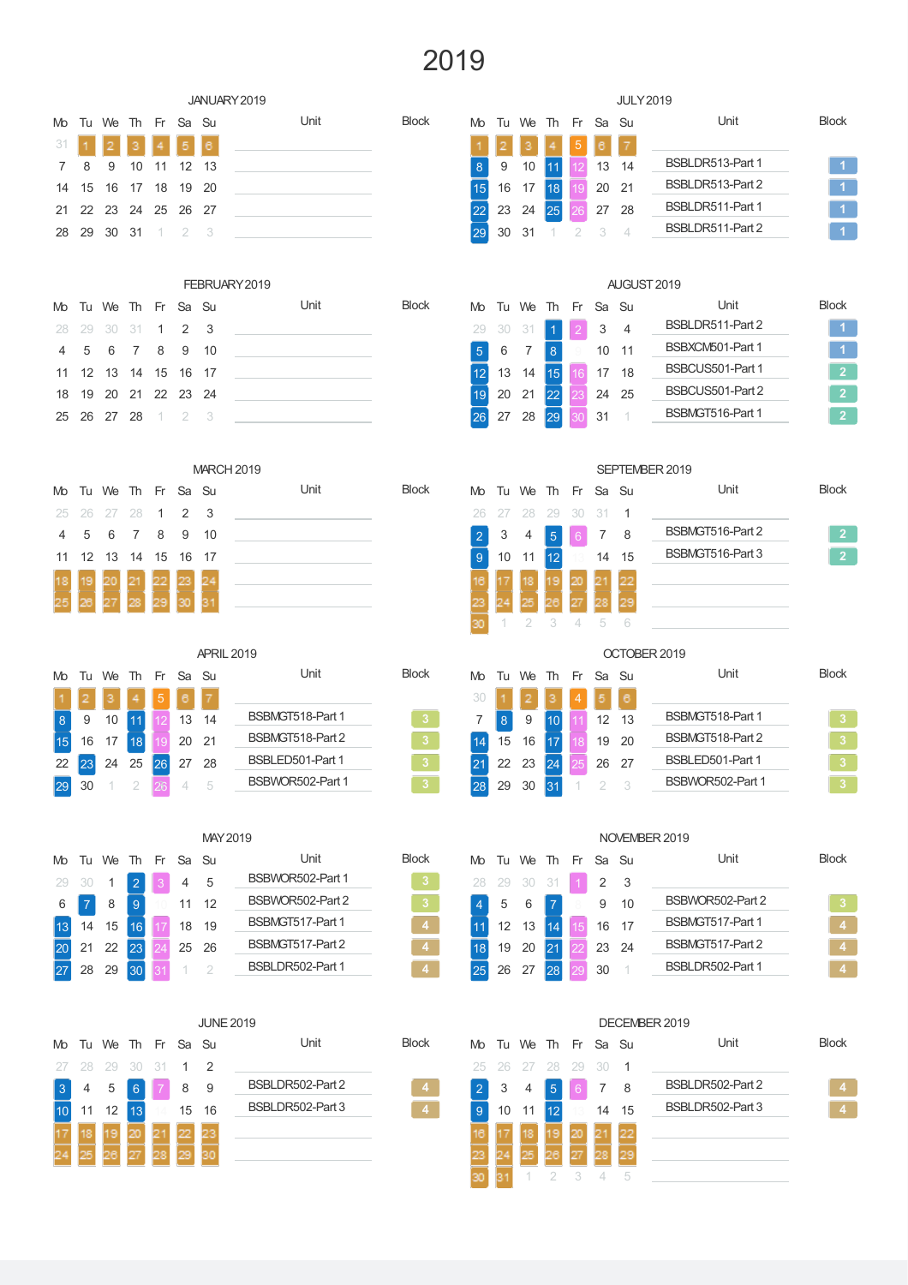## 

|     |    |    |    |    |                |                   | JANUARY 2019      |                |    |                |                  |                |             |       | <b>JULY 2019</b>         |                  |                         |
|-----|----|----|----|----|----------------|-------------------|-------------------|----------------|----|----------------|------------------|----------------|-------------|-------|--------------------------|------------------|-------------------------|
| Mo  | Tu | We | Th | Fr | Sa Su          |                   | Unit              | <b>Block</b>   | Mo | Tu We          |                  | Th             | Fr          | Sa Su |                          | Unit             | <b>Block</b>            |
| 31  |    |    |    |    |                |                   |                   |                |    |                |                  |                |             |       |                          |                  |                         |
| 7   | 8  | 9  | 10 | 11 | 12             | 13                |                   |                | 8  | 9              | 10               | 11             |             | 13    | 14                       | BSBLDR513-Part 1 | $\blacktriangleleft$    |
| 14  | 15 | 16 | 17 | 18 | 19             | 20                |                   |                | 15 | 16             | 17               | 18             |             | 20    | 21                       | BSBLDR513-Part 2 | $\overline{1}$          |
| 21  | 22 | 23 | 24 | 25 | 26             | 27                |                   |                | 22 | 23             | 24               | 25             |             | 27    | 28                       | BSBLDR511-Part 1 | $\overline{1}$          |
| 28  | 29 | 30 | 31 |    | 2              | 3                 |                   |                |    | 30             | 31               |                | 2           | 3     | $\overline{4}$           | BSBLDR511-Part 2 | $\overline{1}$          |
|     |    |    |    |    |                |                   | FEBRUARY 2019     |                |    |                |                  |                |             |       |                          | AUGUST 2019      |                         |
| Mo  | Tu | We | Th | Fr | Sa Su          |                   | Unit              | <b>Block</b>   | Mo |                | Tu We            | Th             | Fr          | Sa Su |                          | Unit             | <b>Block</b>            |
| 28  | 29 | 30 | 31 | 1  | $\overline{2}$ | 3                 |                   |                | 29 | 30             | 31               | 1              |             | 3     | $\overline{\mathcal{L}}$ | BSBLDR511-Part 2 | $\overline{1}$          |
| 4   | 5  | 6  | 7  | 8  | 9              | 10                |                   |                | 5  | 6              | 7                | 8              |             | 10    | 11                       | BSBXCM501-Part 1 | $\overline{1}$          |
| 11  | 12 | 13 | 14 | 15 | 16             | 17                |                   |                | 12 | 13             | 14               | 15             |             | 17    | 18                       | BSBCUS501-Part 1 | $\overline{2}$          |
| 18  | 19 | 20 | 21 | 22 | 23             | 24                |                   |                | 19 | 20             | 21               | 22             |             | 24    | 25                       | BSBCUS501-Part 2 | $\overline{2}$          |
| 25  | 26 | 27 | 28 |    | 2              | 3                 |                   |                | 26 | 27             | 28               | 29             |             | 31    |                          | BSBMGT516-Part 1 | $\overline{2}$          |
|     |    |    |    |    |                |                   |                   |                |    |                |                  |                |             |       |                          |                  |                         |
|     |    |    |    |    |                |                   | <b>MARCH 2019</b> |                |    |                |                  |                |             |       |                          | SEPTEMBER 2019   |                         |
| Mo  | Tu | We | Th | Fr | Sa Su          |                   | Unit              | <b>Block</b>   | Mo | Tu             | We               | Th             | Fr          | Sa Su |                          | Unit             | <b>Block</b>            |
| 25  | 26 | 27 | 28 | 1  | 2              | 3                 |                   |                | 26 | 27             | 28               | 29             | 30          | 31    | 1                        |                  |                         |
| 4   | 5  | 6  | 7  | 8  | 9              | 10                |                   |                | 2  | 3              | 4                | $\overline{5}$ |             | 7     | 8                        | BSBMGT516-Part 2 | $\overline{2}$          |
| 11  | 12 | 13 | 14 | 15 | 16             | 17                |                   |                | 9  | 10             | 11               | 12             |             | 14    | 15                       | BSBMGT516-Part 3 | $\overline{2}$          |
|     |    |    |    |    |                |                   |                   |                |    |                |                  |                |             |       |                          |                  |                         |
|     |    |    |    |    |                |                   |                   |                |    |                |                  |                |             |       |                          |                  |                         |
|     |    |    |    |    |                |                   |                   |                |    |                | $\overline{2}$   | 3              | $\triangle$ | 5     | 6                        |                  |                         |
|     |    |    |    |    |                | <b>APRIL 2019</b> |                   |                |    |                |                  |                |             |       |                          | OCTOBER 2019     |                         |
| Mo. | Tu | We | Th | Fr | Sa             | Su                | Unit              | <b>Block</b>   | Mo | Tu             | We               | Th             | Fr          | Sa    | - Su                     | Unit             | <b>Block</b>            |
|     |    |    |    |    | 6              |                   |                   |                | 30 |                | 2                |                |             | 5     | 6                        |                  |                         |
| 8   | 9  | 10 | 11 | 12 | 13             | 14                | BSBMGT518-Part 1  | 3 <sub>o</sub> | 7  | $8\phantom{1}$ | $\boldsymbol{9}$ | 10             |             | 12    | 13                       | BSBMGT518-Part 1 | $\mathbf 3$             |
| 15  | 16 | 17 | 18 | 19 | 20             | 21                | BSBMGT518-Part 2  | $\overline{3}$ | 14 | 15             | 16               | 17             |             | 19    | 20                       | BSBMGT518-Part 2 | $\overline{\mathbf{3}}$ |
| 22  | 23 | 24 | 25 | 26 | 27             | 28                | BSBLED501-Part 1  | 3 <sup>°</sup> | 21 | 22             | 23               | 24             |             | 26    | 27                       | BSBLED501-Part 1 | $\overline{\mathbf{3}}$ |

#### MAY2019

| Mo |      | Tu We The Free Sa Su |          |    |    |       | Unit             | <b>Block</b> |
|----|------|----------------------|----------|----|----|-------|------------------|--------------|
| 29 | - 30 | 1                    | $\Omega$ | ß, |    | - 5   | BSBWOR502-Part 1 | 3            |
| 6  |      | 8                    | 9        |    | 11 | 12    | BSBWOR502-Part 2 | 3            |
|    | 14   | 15                   | 16       |    |    | 18 19 | BSBMGT517-Part 1 | 4            |
|    |      | 21 22                | 23       | 24 |    | 25 26 | BSBMGT517-Part 2 | 4            |
|    | 28   |                      |          |    |    |       | BSBLDR502-Part 1 | 4            |

### **JUNE 2019** Mo Tu We Th Fr Sa Su and Unit and Block 28 29 30 31 1 2 4 5 6 7 8 9 BSBLDR502-Part 2 4 10 11 12 13 14 15 16 BSBLDR502-Part 3 **4**

| Block |  |
|-------|--|
| c     |  |
| c     |  |
|       |  |
|       |  |
|       |  |
|       |  |

| DECEMBER 2019        |    |                   |       |    |    |     |                  |              |  |
|----------------------|----|-------------------|-------|----|----|-----|------------------|--------------|--|
| Mo Tu We Th Fr Sa Su |    |                   |       |    |    |     | Unit             | <b>Block</b> |  |
|                      |    | 25 26 27 28 29 30 |       |    |    | - 1 |                  |              |  |
| $\overline{2}$       | 3  | 4                 | 5     | 6  | 7  | - 8 | BSBLDR502-Part 2 | д            |  |
| 9                    | 10 | 11                | l12 l |    | 14 | 15  | BSBLDR502-Part 3 |              |  |
| 16                   |    |                   |       | 20 |    | 22  |                  |              |  |
| 23                   |    |                   | 28    | 27 | 28 | 29  |                  |              |  |
| 30                   |    |                   |       |    |    | 5   |                  |              |  |

29 30 31 1 2 3

NOVEMBER 2019 Mo Tu We Th Fr Sa Su and Unit and Block

4 5 6 7 8 9 10 BSBWOR502-Part 2 3 11 12 13 14 15 16 17 BSBNGT517-Part 1 19 20 21 22 23 24 BSBMGT517-Part 2

|  |                      |     | 25 26 27 28 29 30 1 | BSBLDR502-Part 1 | 4            |
|--|----------------------|-----|---------------------|------------------|--------------|
|  |                      |     |                     |                  |              |
|  |                      |     |                     | DECEMBER 2019    |              |
|  | Mo Tu We Th Fr Sa Su |     |                     | Unit             | <b>Block</b> |
|  | 25 26 27 28 29 30 1  |     |                     |                  |              |
|  | 2 3 4 5              | 6 7 | - 8                 | BSBLDR502-Part 2 |              |

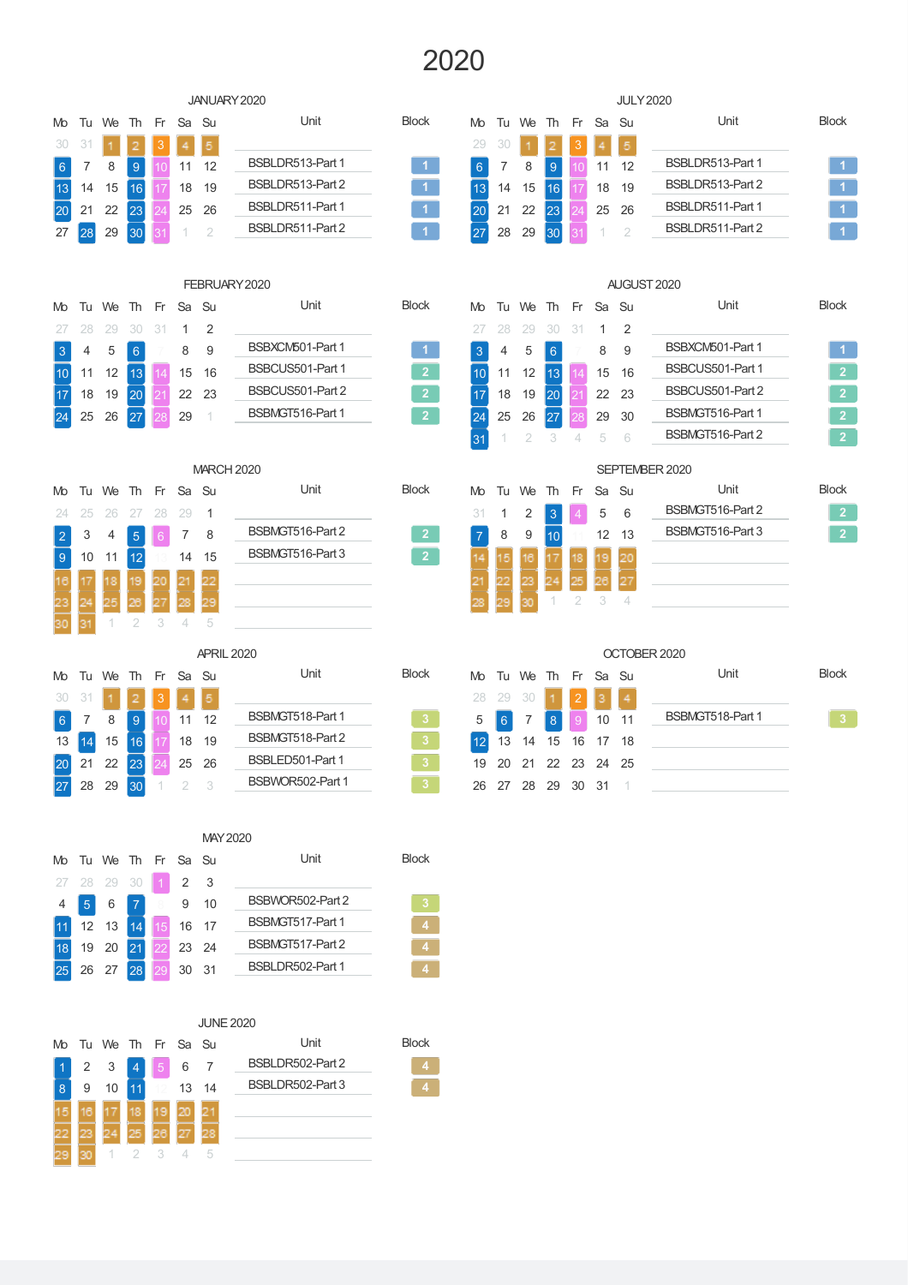## 

|                                  |                                       |                      |                |      |                |                         | JANUARY 2020                       |                         |                 |                |                     |                |     |       |                | <b>JULY 2020</b>    |                 |
|----------------------------------|---------------------------------------|----------------------|----------------|------|----------------|-------------------------|------------------------------------|-------------------------|-----------------|----------------|---------------------|----------------|-----|-------|----------------|---------------------|-----------------|
|                                  | Mo Tu                                 | We                   | Th             | Fr   | Sa Su          |                         | Unit                               | <b>Block</b>            | Mo              |                | Tu We Th            |                | Fr  | Sa    | - Su           | Unit                | <b>Block</b>    |
| 30                               | 31                                    |                      |                |      |                | 5                       |                                    |                         | 29              | 30             |                     |                | 3   |       | 5              |                     |                 |
| $\begin{array}{c} 6 \end{array}$ | 7                                     | 8                    | 9              |      | 11             | 12                      | BSBLDR513-Part 1                   | $\mathbf{1}$            | $6\phantom{1}6$ | 7              | 8                   | $\overline{9}$ | 10  | 11    | 12             | BSBLDR513-Part 1    | $\vert$ 1       |
| 13                               | 14                                    | 15                   | 16             |      | 18             | 19                      | BSBLDR513-Part 2                   | $\mathbf{1}$            | 13              | 14             | 15                  | 16             |     | 18    | 19             | BSBLDR513-Part 2    | $\vert 1 \vert$ |
| $\boxed{20}$                     | 21                                    | 22                   | 23             |      | 25             | 26                      | BSBLDR511-Part 1                   | $\mathbf{1}$            | 20              | 21             | 22                  | 23             |     | 25    | 26             | BSBLDR511-Part 1    | $\overline{1}$  |
| 27                               | 28                                    | 29                   | 30             |      |                | $\overline{2}$          | BSBLDR511-Part 2                   | $\blacktriangleleft$    | 27              | 28             | 29                  | 30             |     |       | $\overline{2}$ | BSBLDR511-Part 2    | $\overline{1}$  |
|                                  |                                       |                      |                |      |                |                         |                                    |                         |                 |                |                     |                |     |       |                |                     |                 |
| Mo Tu                            |                                       | We                   | Th             | Fr   | Sa Su          |                         | FEBRUARY 2020<br>Unit              | <b>Block</b>            | Mo              |                | Tu We               | Th             | Fr. | Sa    | - Su           | AUGUST 2020<br>Unit | <b>Block</b>    |
| 27                               | 28                                    | 29                   | 30             | 31   | 1              | 2                       |                                    |                         | 27              | 28             | 29                  | 30             | 31  | 1     | 2              |                     |                 |
| 3                                | 4                                     | 5                    | 6              |      | 8              | 9                       | BSBXCM501-Part 1                   |                         | 3               | 4              | 5                   | $6\phantom{a}$ |     | 8     | 9              | BSBXCM501-Part 1    | $\vert 1 \vert$ |
| 10                               | 11                                    | 12                   | 13             |      | 15             | 16                      | BSBCUS501-Part 1                   | 2 <sup>7</sup>          | 10              | 11             | 12                  | 13             |     | 15    | 16             | BSBCUS501-Part 1    | $\overline{2}$  |
| $ 17\rangle$                     | 18                                    | 19                   | 20             |      | 22             | 23                      | BSBCUS501-Part 2                   | 2 <sub>1</sub>          | 17              | 18             | 19                  | 20             | 21  | 22    | 23             | BSBCUS501-Part 2    | $\overline{2}$  |
| $\sqrt{24}$                      | 25                                    | 26                   | 27             |      | 29             | -1                      | BSBMGT516-Part 1                   | $\mathbf{2}$            | 24              | 25             | 26                  | 27             |     | 29    | 30             | BSBMGT516-Part 1    | $\overline{2}$  |
|                                  |                                       |                      |                |      |                |                         |                                    |                         | 31              |                | 2                   | 3              | 4   | 5     | 6              | BSBMGT516-Part 2    | $\overline{2}$  |
|                                  |                                       |                      |                |      |                |                         | <b>MARCH 2020</b>                  |                         |                 | SEPTEMBER 2020 |                     |                |     |       |                |                     |                 |
| Mo                               | Tu                                    | We                   | Th             | - Fr | Sa Su          |                         | Unit                               | <b>Block</b>            | Mo              |                | Tu We               | Th             | Fr  | Sa    | Su             | Unit                | <b>Block</b>    |
| 24                               | 25                                    | 26                   | 27             | 28   | 29             | -1                      |                                    |                         | 31              | 1              | $\overline{2}$      | 3              | 4   | 5     | 6              | BSBMGT516-Part 2    | $\mathbf{2}$    |
| $\vert$ 2                        | 3                                     | 4                    | 5              | 6    | 7              | 8                       | BSBMGT516-Part 2                   | $\mathbf{2}$            |                 | 8              | 9                   | 10             |     | 12    | 13             | BSBMGT516-Part 3    | $\overline{2}$  |
| 9                                | 10                                    | 11                   | 12             |      | 14             | 15                      | BSBMGT516-Part 3                   | $\overline{2}$          |                 |                |                     |                |     |       |                |                     |                 |
|                                  |                                       |                      |                |      |                |                         |                                    |                         |                 |                |                     |                |     |       |                |                     |                 |
| 23                               |                                       |                      |                |      |                |                         |                                    |                         |                 |                |                     |                | 2   | 3     | $\overline{4}$ |                     |                 |
|                                  |                                       |                      |                |      | 4              | 5                       |                                    |                         |                 |                |                     |                |     |       |                |                     |                 |
|                                  |                                       |                      |                |      |                | <b>APRIL 2020</b>       |                                    |                         |                 |                |                     |                |     |       |                | OCTOBER 2020        |                 |
| Mo Tu                            |                                       | We                   | Th             | Fr   | Sa Su          |                         | Unit                               | <b>Block</b>            | Mo              |                | Tu We               | Th             | Fr  | Sa Su |                | Unit                | <b>Block</b>    |
| 30                               | 31                                    |                      |                |      |                | 5                       |                                    |                         | 28              | 29             | 30                  |                | 2   |       |                |                     |                 |
| $ 6\rangle$                      | 7                                     | 8                    | $\overline{9}$ |      | 11             | 12                      | BSBMGT518-Part 1                   | 3 <sup>°</sup>          | 5               | $\sqrt{6}$     | 7                   | 8              | 9   | 10    | 11             | BSBMGT518-Part 1    | 3 <sup>2</sup>  |
| 13                               | 14                                    | 15                   | 16             |      | 18             | 19                      | BSBMGT518-Part 2                   | 3 <sub>1</sub>          | 12              | 13             | 14                  | 15             | 16  | 17    | 18             |                     |                 |
|                                  | $\begin{bmatrix} 20 \end{bmatrix}$ 21 | 22                   | 23             |      |                | 25 26                   | BSBLED501-Part 1                   | $\overline{\mathbf{3}}$ | 19              |                | 20 21 22 23 24 25   |                |     |       |                |                     |                 |
|                                  |                                       |                      |                |      |                |                         | 27 28 29 30 1 2 3 BSBWOR502-Part 1 | 3 <sup>1</sup>          |                 |                | 26 27 28 29 30 31 1 |                |     |       |                |                     |                 |
|                                  |                                       |                      |                |      |                | MAY 2020                |                                    |                         |                 |                |                     |                |     |       |                |                     |                 |
|                                  |                                       | Mo Tu We Th Fr Sa Su |                |      |                |                         | Unit                               | <b>Block</b>            |                 |                |                     |                |     |       |                |                     |                 |
|                                  |                                       |                      |                |      | $\overline{2}$ | $\overline{\mathbf{3}}$ |                                    |                         |                 |                |                     |                |     |       |                |                     |                 |
|                                  | $4 \mid 5 \mid$                       | $6 \mid 7$           |                |      |                | $9$ 10                  | BSBWOR502-Part 2                   | $\vert 3 \vert$         |                 |                |                     |                |     |       |                |                     |                 |
|                                  |                                       |                      |                |      |                |                         |                                    |                         |                 |                |                     |                |     |       |                |                     |                 |

26 27 28 29 30 31 BSBLDR502-Part 1 **4**



11 12 13 14 15 16 17 BSBMGT517-Part 1<br>18 19 20 21 22 23 24 BSBMGT517-Part 2 19 20 21 22 23 24 BSBMGT517-Part 2 **4**